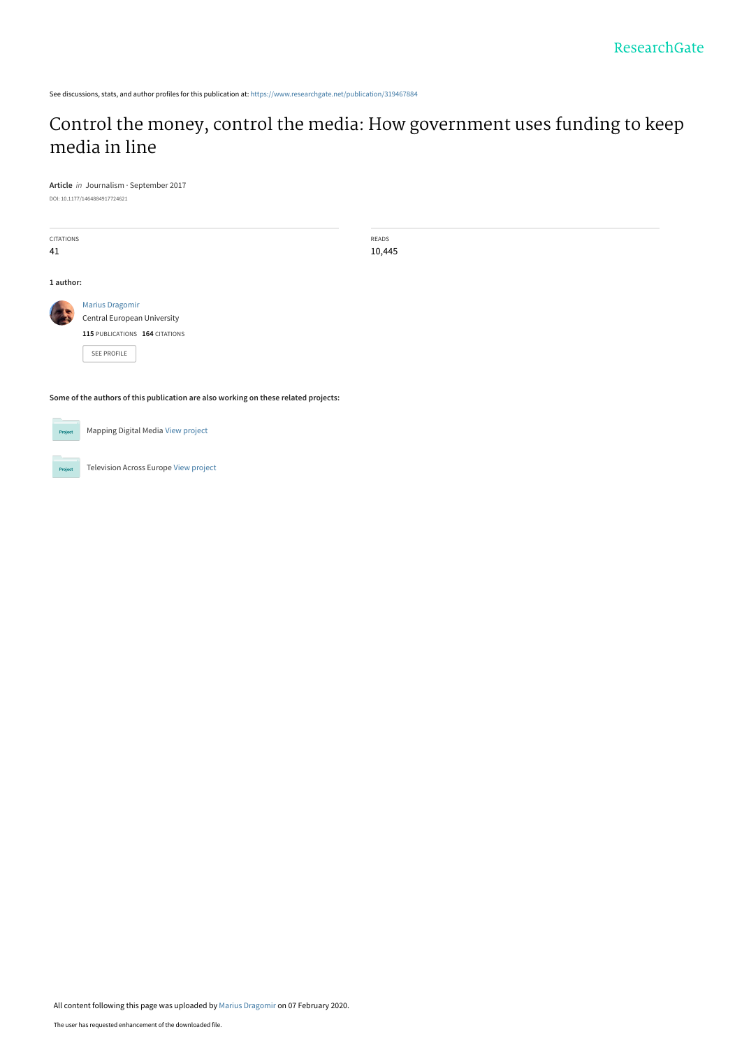See discussions, stats, and author profiles for this publication at: [https://www.researchgate.net/publication/319467884](https://www.researchgate.net/publication/319467884_Control_the_money_control_the_media_How_government_uses_funding_to_keep_media_in_line?enrichId=rgreq-b58df87559e8578d0e053da5198e90d4-XXX&enrichSource=Y292ZXJQYWdlOzMxOTQ2Nzg4NDtBUzo4NTU5NjM3NzkyMzE3NDhAMTU4MTA4OTA3NjcxNQ%3D%3D&el=1_x_2&_esc=publicationCoverPdf)

## [Control the money, control the media: How government uses funding to keep](https://www.researchgate.net/publication/319467884_Control_the_money_control_the_media_How_government_uses_funding_to_keep_media_in_line?enrichId=rgreq-b58df87559e8578d0e053da5198e90d4-XXX&enrichSource=Y292ZXJQYWdlOzMxOTQ2Nzg4NDtBUzo4NTU5NjM3NzkyMzE3NDhAMTU4MTA4OTA3NjcxNQ%3D%3D&el=1_x_3&_esc=publicationCoverPdf) media in line

**Article** in Journalism · September 2017 DOI: 10.1177/1464884917724621

CITATIONS 41

READS 10,445

**1 author:**

[Marius Dragomir](https://www.researchgate.net/profile/Marius-Dragomir?enrichId=rgreq-b58df87559e8578d0e053da5198e90d4-XXX&enrichSource=Y292ZXJQYWdlOzMxOTQ2Nzg4NDtBUzo4NTU5NjM3NzkyMzE3NDhAMTU4MTA4OTA3NjcxNQ%3D%3D&el=1_x_5&_esc=publicationCoverPdf) [Central European University](https://www.researchgate.net/institution/Central_European_University?enrichId=rgreq-b58df87559e8578d0e053da5198e90d4-XXX&enrichSource=Y292ZXJQYWdlOzMxOTQ2Nzg4NDtBUzo4NTU5NjM3NzkyMzE3NDhAMTU4MTA4OTA3NjcxNQ%3D%3D&el=1_x_6&_esc=publicationCoverPdf) **115** PUBLICATIONS **164** CITATIONS

[SEE PROFILE](https://www.researchgate.net/profile/Marius-Dragomir?enrichId=rgreq-b58df87559e8578d0e053da5198e90d4-XXX&enrichSource=Y292ZXJQYWdlOzMxOTQ2Nzg4NDtBUzo4NTU5NjM3NzkyMzE3NDhAMTU4MTA4OTA3NjcxNQ%3D%3D&el=1_x_7&_esc=publicationCoverPdf)

**Some of the authors of this publication are also working on these related projects:**

 $Prc$ 

Pro

Mapping Digital Media [View project](https://www.researchgate.net/project/Mapping-Digital-Media?enrichId=rgreq-b58df87559e8578d0e053da5198e90d4-XXX&enrichSource=Y292ZXJQYWdlOzMxOTQ2Nzg4NDtBUzo4NTU5NjM3NzkyMzE3NDhAMTU4MTA4OTA3NjcxNQ%3D%3D&el=1_x_9&_esc=publicationCoverPdf)

Television Across Europe [View project](https://www.researchgate.net/project/Television-Across-Europe?enrichId=rgreq-b58df87559e8578d0e053da5198e90d4-XXX&enrichSource=Y292ZXJQYWdlOzMxOTQ2Nzg4NDtBUzo4NTU5NjM3NzkyMzE3NDhAMTU4MTA4OTA3NjcxNQ%3D%3D&el=1_x_9&_esc=publicationCoverPdf)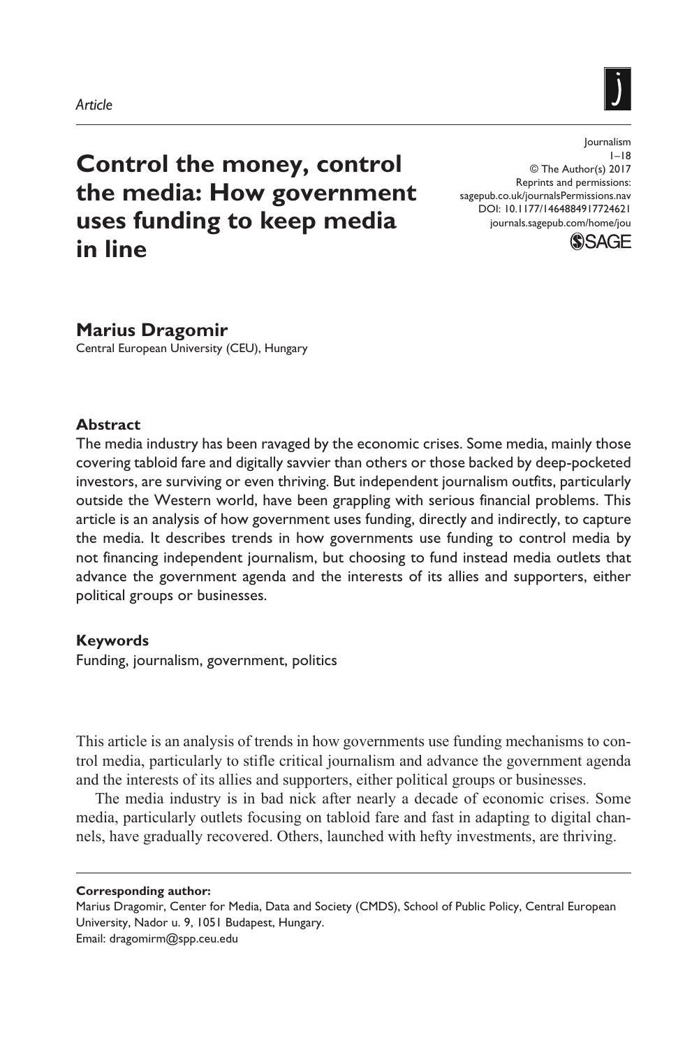

# **Control the money, control the media: How government uses funding to keep media in line**

https://doi.org/10.1177/1464884917724621 DOI: 10.1177/1464884917724621 Journalism  $1 - 18$ © The Author(s) 2017 Reprints and permissions: [sagepub.co.uk/journalsPermissions.nav](https://uk.sagepub.com/en-gb/journals-permissions) [journals.sagepub.com/home/jou](https://journals.sagepub.com/home/jou)



## **Marius Dragomir** Central European University (CEU), Hungary

#### **Abstract**

The media industry has been ravaged by the economic crises. Some media, mainly those covering tabloid fare and digitally savvier than others or those backed by deep-pocketed investors, are surviving or even thriving. But independent journalism outfits, particularly outside the Western world, have been grappling with serious financial problems. This article is an analysis of how government uses funding, directly and indirectly, to capture the media. It describes trends in how governments use funding to control media by not financing independent journalism, but choosing to fund instead media outlets that advance the government agenda and the interests of its allies and supporters, either political groups or businesses.

#### **Keywords**

Funding, journalism, government, politics

This article is an analysis of trends in how governments use funding mechanisms to control media, particularly to stifle critical journalism and advance the government agenda and the interests of its allies and supporters, either political groups or businesses.

The media industry is in bad nick after nearly a decade of economic crises. Some media, particularly outlets focusing on tabloid fare and fast in adapting to digital channels, have gradually recovered. Others, launched with hefty investments, are thriving.

**Corresponding author:**

Marius Dragomir, Center for Media, Data and Society (CMDS), School of Public Policy, Central European University, Nador u. 9, 1051 Budapest, Hungary. Email: [dragomirm@spp.ceu.edu](mailto:dragomirm@spp.ceu.edu)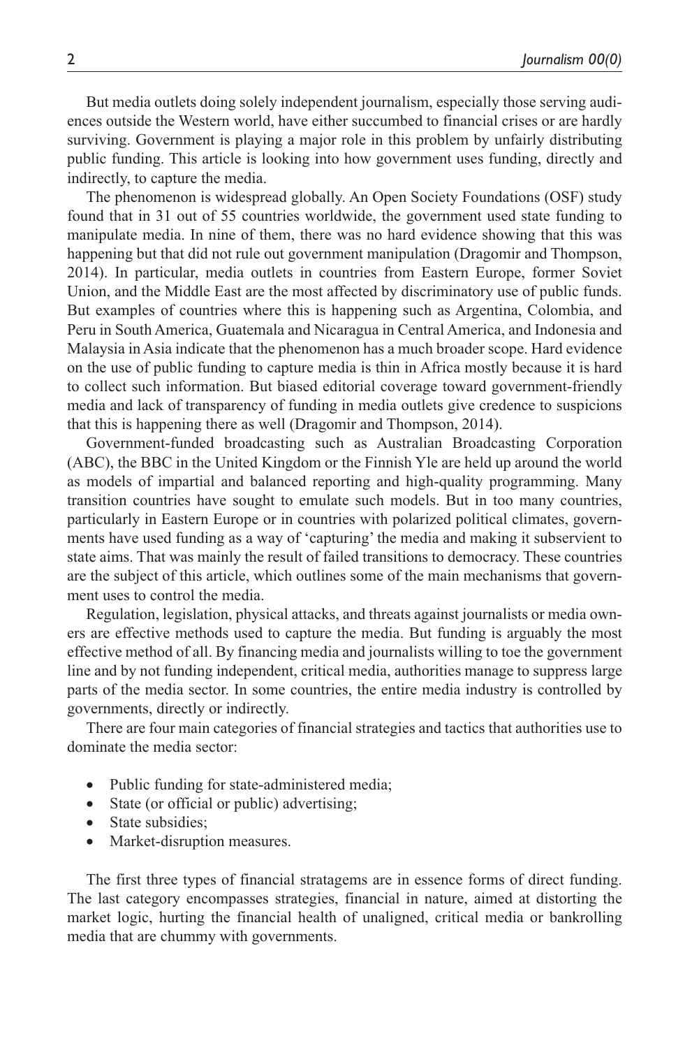But media outlets doing solely independent journalism, especially those serving audiences outside the Western world, have either succumbed to financial crises or are hardly surviving. Government is playing a major role in this problem by unfairly distributing public funding. This article is looking into how government uses funding, directly and indirectly, to capture the media.

The phenomenon is widespread globally. An Open Society Foundations (OSF) study found that in 31 out of 55 countries worldwide, the government used state funding to manipulate media. In nine of them, there was no hard evidence showing that this was happening but that did not rule out government manipulation (Dragomir and Thompson, 2014). In particular, media outlets in countries from Eastern Europe, former Soviet Union, and the Middle East are the most affected by discriminatory use of public funds. But examples of countries where this is happening such as Argentina, Colombia, and Peru in South America, Guatemala and Nicaragua in Central America, and Indonesia and Malaysia in Asia indicate that the phenomenon has a much broader scope. Hard evidence on the use of public funding to capture media is thin in Africa mostly because it is hard to collect such information. But biased editorial coverage toward government-friendly media and lack of transparency of funding in media outlets give credence to suspicions that this is happening there as well (Dragomir and Thompson, 2014).

Government-funded broadcasting such as Australian Broadcasting Corporation (ABC), the BBC in the United Kingdom or the Finnish Yle are held up around the world as models of impartial and balanced reporting and high-quality programming. Many transition countries have sought to emulate such models. But in too many countries, particularly in Eastern Europe or in countries with polarized political climates, governments have used funding as a way of 'capturing' the media and making it subservient to state aims. That was mainly the result of failed transitions to democracy. These countries are the subject of this article, which outlines some of the main mechanisms that government uses to control the media.

Regulation, legislation, physical attacks, and threats against journalists or media owners are effective methods used to capture the media. But funding is arguably the most effective method of all. By financing media and journalists willing to toe the government line and by not funding independent, critical media, authorities manage to suppress large parts of the media sector. In some countries, the entire media industry is controlled by governments, directly or indirectly.

There are four main categories of financial strategies and tactics that authorities use to dominate the media sector:

- Public funding for state-administered media;
- State (or official or public) advertising;
- State subsidies;
- Market-disruption measures.

The first three types of financial stratagems are in essence forms of direct funding. The last category encompasses strategies, financial in nature, aimed at distorting the market logic, hurting the financial health of unaligned, critical media or bankrolling media that are chummy with governments.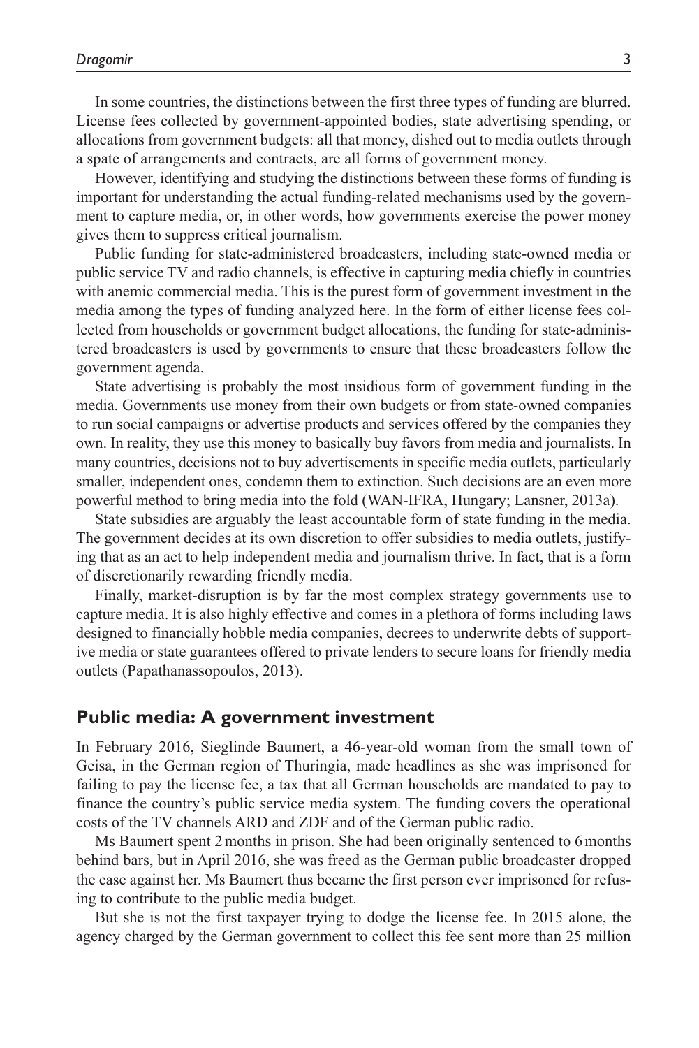In some countries, the distinctions between the first three types of funding are blurred. License fees collected by government-appointed bodies, state advertising spending, or allocations from government budgets: all that money, dished out to media outlets through a spate of arrangements and contracts, are all forms of government money.

However, identifying and studying the distinctions between these forms of funding is important for understanding the actual funding-related mechanisms used by the government to capture media, or, in other words, how governments exercise the power money gives them to suppress critical journalism.

Public funding for state-administered broadcasters, including state-owned media or public service TV and radio channels, is effective in capturing media chiefly in countries with anemic commercial media. This is the purest form of government investment in the media among the types of funding analyzed here. In the form of either license fees collected from households or government budget allocations, the funding for state-administered broadcasters is used by governments to ensure that these broadcasters follow the government agenda.

State advertising is probably the most insidious form of government funding in the media. Governments use money from their own budgets or from state-owned companies to run social campaigns or advertise products and services offered by the companies they own. In reality, they use this money to basically buy favors from media and journalists. In many countries, decisions not to buy advertisements in specific media outlets, particularly smaller, independent ones, condemn them to extinction. Such decisions are an even more powerful method to bring media into the fold (WAN-IFRA, Hungary; Lansner, 2013a).

State subsidies are arguably the least accountable form of state funding in the media. The government decides at its own discretion to offer subsidies to media outlets, justifying that as an act to help independent media and journalism thrive. In fact, that is a form of discretionarily rewarding friendly media.

Finally, market-disruption is by far the most complex strategy governments use to capture media. It is also highly effective and comes in a plethora of forms including laws designed to financially hobble media companies, decrees to underwrite debts of supportive media or state guarantees offered to private lenders to secure loans for friendly media outlets (Papathanassopoulos, 2013).

#### **Public media: A government investment**

In February 2016, Sieglinde Baumert, a 46-year-old woman from the small town of Geisa, in the German region of Thuringia, made headlines as she was imprisoned for failing to pay the license fee, a tax that all German households are mandated to pay to finance the country's public service media system. The funding covers the operational costs of the TV channels ARD and ZDF and of the German public radio.

Ms Baumert spent 2months in prison. She had been originally sentenced to 6months behind bars, but in April 2016, she was freed as the German public broadcaster dropped the case against her. Ms Baumert thus became the first person ever imprisoned for refusing to contribute to the public media budget.

But she is not the first taxpayer trying to dodge the license fee. In 2015 alone, the agency charged by the German government to collect this fee sent more than 25 million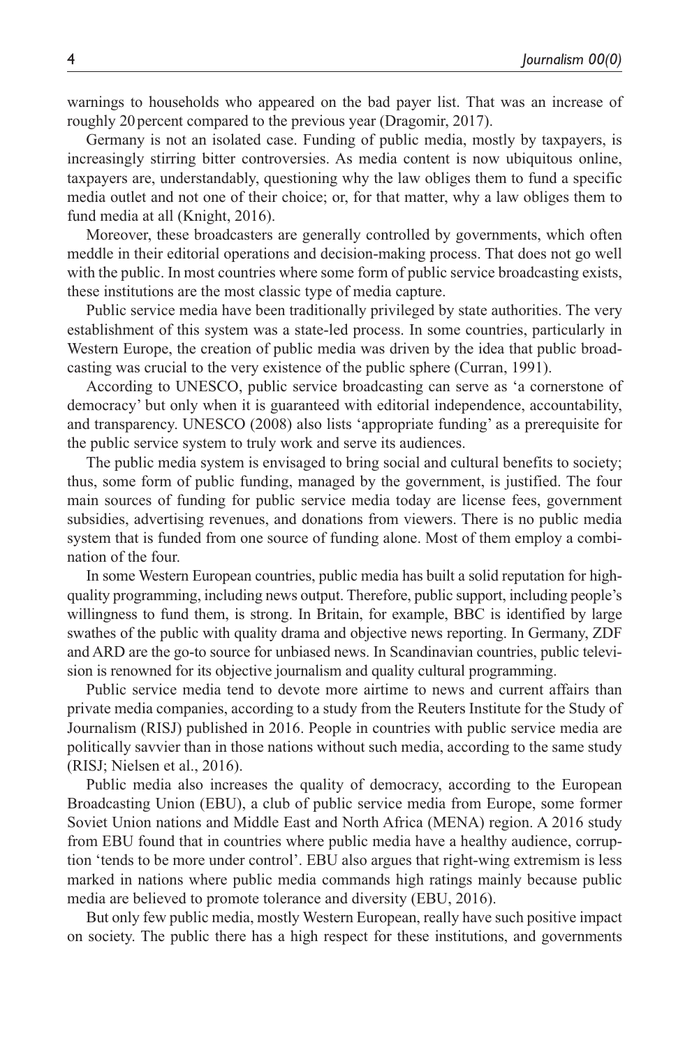warnings to households who appeared on the bad payer list. That was an increase of roughly 20 percent compared to the previous year (Dragomir, 2017).

Germany is not an isolated case. Funding of public media, mostly by taxpayers, is increasingly stirring bitter controversies. As media content is now ubiquitous online, taxpayers are, understandably, questioning why the law obliges them to fund a specific media outlet and not one of their choice; or, for that matter, why a law obliges them to fund media at all (Knight, 2016).

Moreover, these broadcasters are generally controlled by governments, which often meddle in their editorial operations and decision-making process. That does not go well with the public. In most countries where some form of public service broadcasting exists, these institutions are the most classic type of media capture.

Public service media have been traditionally privileged by state authorities. The very establishment of this system was a state-led process. In some countries, particularly in Western Europe, the creation of public media was driven by the idea that public broadcasting was crucial to the very existence of the public sphere (Curran, 1991).

According to UNESCO, public service broadcasting can serve as 'a cornerstone of democracy' but only when it is guaranteed with editorial independence, accountability, and transparency. UNESCO (2008) also lists 'appropriate funding' as a prerequisite for the public service system to truly work and serve its audiences.

The public media system is envisaged to bring social and cultural benefits to society; thus, some form of public funding, managed by the government, is justified. The four main sources of funding for public service media today are license fees, government subsidies, advertising revenues, and donations from viewers. There is no public media system that is funded from one source of funding alone. Most of them employ a combination of the four.

In some Western European countries, public media has built a solid reputation for highquality programming, including news output. Therefore, public support, including people's willingness to fund them, is strong. In Britain, for example, BBC is identified by large swathes of the public with quality drama and objective news reporting. In Germany, ZDF and ARD are the go-to source for unbiased news. In Scandinavian countries, public television is renowned for its objective journalism and quality cultural programming.

Public service media tend to devote more airtime to news and current affairs than private media companies, according to a study from the Reuters Institute for the Study of Journalism (RISJ) published in 2016. People in countries with public service media are politically savvier than in those nations without such media, according to the same study (RISJ; Nielsen et al., 2016).

Public media also increases the quality of democracy, according to the European Broadcasting Union (EBU), a club of public service media from Europe, some former Soviet Union nations and Middle East and North Africa (MENA) region. A 2016 study from EBU found that in countries where public media have a healthy audience, corruption 'tends to be more under control'. EBU also argues that right-wing extremism is less marked in nations where public media commands high ratings mainly because public media are believed to promote tolerance and diversity (EBU, 2016).

But only few public media, mostly Western European, really have such positive impact on society. The public there has a high respect for these institutions, and governments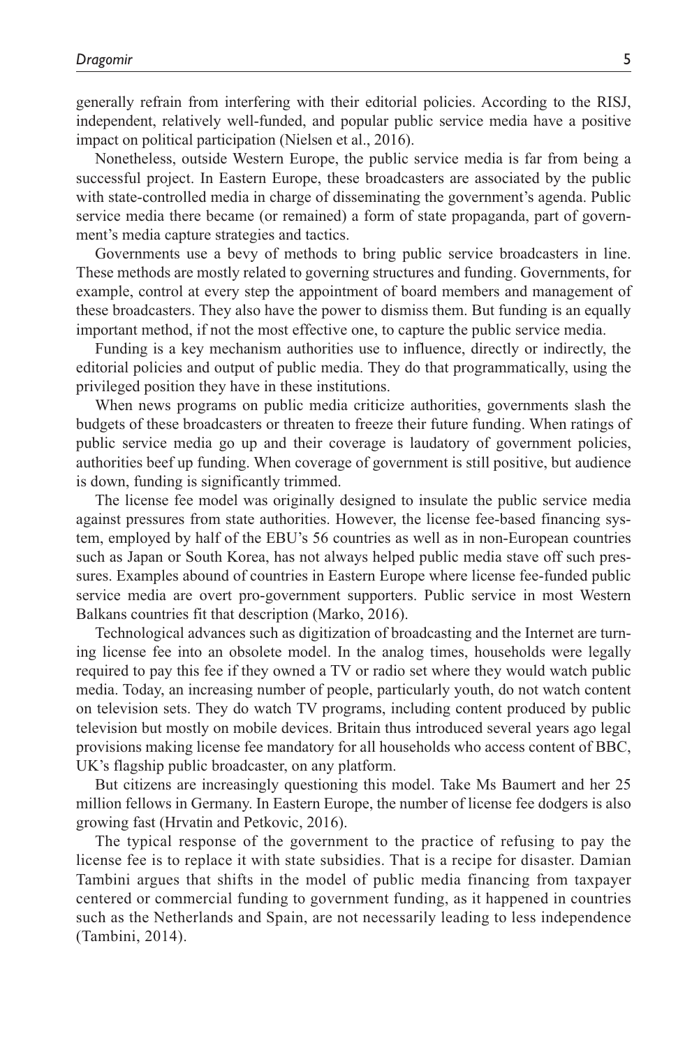generally refrain from interfering with their editorial policies. According to the RISJ, independent, relatively well-funded, and popular public service media have a positive impact on political participation (Nielsen et al., 2016).

Nonetheless, outside Western Europe, the public service media is far from being a successful project. In Eastern Europe, these broadcasters are associated by the public with state-controlled media in charge of disseminating the government's agenda. Public service media there became (or remained) a form of state propaganda, part of government's media capture strategies and tactics.

Governments use a bevy of methods to bring public service broadcasters in line. These methods are mostly related to governing structures and funding. Governments, for example, control at every step the appointment of board members and management of these broadcasters. They also have the power to dismiss them. But funding is an equally important method, if not the most effective one, to capture the public service media.

Funding is a key mechanism authorities use to influence, directly or indirectly, the editorial policies and output of public media. They do that programmatically, using the privileged position they have in these institutions.

When news programs on public media criticize authorities, governments slash the budgets of these broadcasters or threaten to freeze their future funding. When ratings of public service media go up and their coverage is laudatory of government policies, authorities beef up funding. When coverage of government is still positive, but audience is down, funding is significantly trimmed.

The license fee model was originally designed to insulate the public service media against pressures from state authorities. However, the license fee-based financing system, employed by half of the EBU's 56 countries as well as in non-European countries such as Japan or South Korea, has not always helped public media stave off such pressures. Examples abound of countries in Eastern Europe where license fee-funded public service media are overt pro-government supporters. Public service in most Western Balkans countries fit that description (Marko, 2016).

Technological advances such as digitization of broadcasting and the Internet are turning license fee into an obsolete model. In the analog times, households were legally required to pay this fee if they owned a TV or radio set where they would watch public media. Today, an increasing number of people, particularly youth, do not watch content on television sets. They do watch TV programs, including content produced by public television but mostly on mobile devices. Britain thus introduced several years ago legal provisions making license fee mandatory for all households who access content of BBC, UK's flagship public broadcaster, on any platform.

But citizens are increasingly questioning this model. Take Ms Baumert and her 25 million fellows in Germany. In Eastern Europe, the number of license fee dodgers is also growing fast (Hrvatin and Petkovic, 2016).

The typical response of the government to the practice of refusing to pay the license fee is to replace it with state subsidies. That is a recipe for disaster. Damian Tambini argues that shifts in the model of public media financing from taxpayer centered or commercial funding to government funding, as it happened in countries such as the Netherlands and Spain, are not necessarily leading to less independence (Tambini, 2014).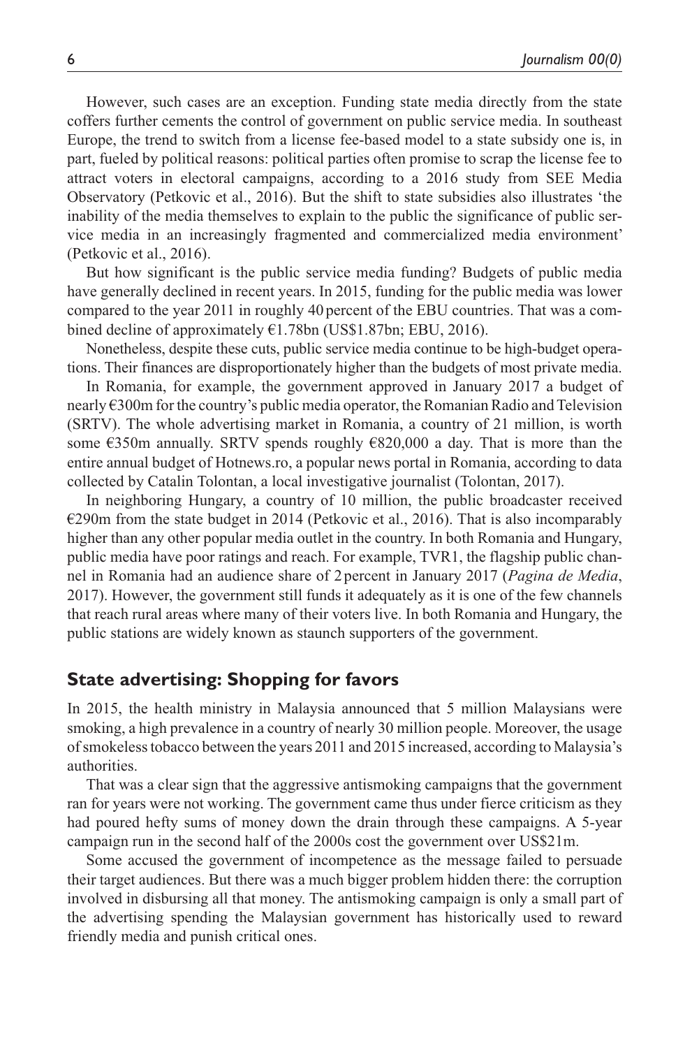However, such cases are an exception. Funding state media directly from the state coffers further cements the control of government on public service media. In southeast Europe, the trend to switch from a license fee-based model to a state subsidy one is, in part, fueled by political reasons: political parties often promise to scrap the license fee to attract voters in electoral campaigns, according to a 2016 study from SEE Media Observatory (Petkovic et al., 2016). But the shift to state subsidies also illustrates 'the inability of the media themselves to explain to the public the significance of public service media in an increasingly fragmented and commercialized media environment' (Petkovic et al., 2016).

But how significant is the public service media funding? Budgets of public media have generally declined in recent years. In 2015, funding for the public media was lower compared to the year 2011 in roughly 40 percent of the EBU countries. That was a combined decline of approximately €1.78bn (US\$1.87bn; EBU, 2016).

Nonetheless, despite these cuts, public service media continue to be high-budget operations. Their finances are disproportionately higher than the budgets of most private media.

In Romania, for example, the government approved in January 2017 a budget of nearly €300m for the country's public media operator, the Romanian Radio and Television (SRTV). The whole advertising market in Romania, a country of 21 million, is worth some  $\epsilon$ 350m annually. SRTV spends roughly  $\epsilon$ 820,000 a day. That is more than the entire annual budget of Hotnews.ro, a popular news portal in Romania, according to data collected by Catalin Tolontan, a local investigative journalist (Tolontan, 2017).

In neighboring Hungary, a country of 10 million, the public broadcaster received €290m from the state budget in 2014 (Petkovic et al., 2016). That is also incomparably higher than any other popular media outlet in the country. In both Romania and Hungary, public media have poor ratings and reach. For example, TVR1, the flagship public channel in Romania had an audience share of 2percent in January 2017 (*Pagina de Media*, 2017). However, the government still funds it adequately as it is one of the few channels that reach rural areas where many of their voters live. In both Romania and Hungary, the public stations are widely known as staunch supporters of the government.

## **State advertising: Shopping for favors**

In 2015, the health ministry in Malaysia announced that 5 million Malaysians were smoking, a high prevalence in a country of nearly 30 million people. Moreover, the usage of smokeless tobacco between the years 2011 and 2015 increased, according to Malaysia's authorities.

That was a clear sign that the aggressive antismoking campaigns that the government ran for years were not working. The government came thus under fierce criticism as they had poured hefty sums of money down the drain through these campaigns. A 5-year campaign run in the second half of the 2000s cost the government over US\$21m.

Some accused the government of incompetence as the message failed to persuade their target audiences. But there was a much bigger problem hidden there: the corruption involved in disbursing all that money. The antismoking campaign is only a small part of the advertising spending the Malaysian government has historically used to reward friendly media and punish critical ones.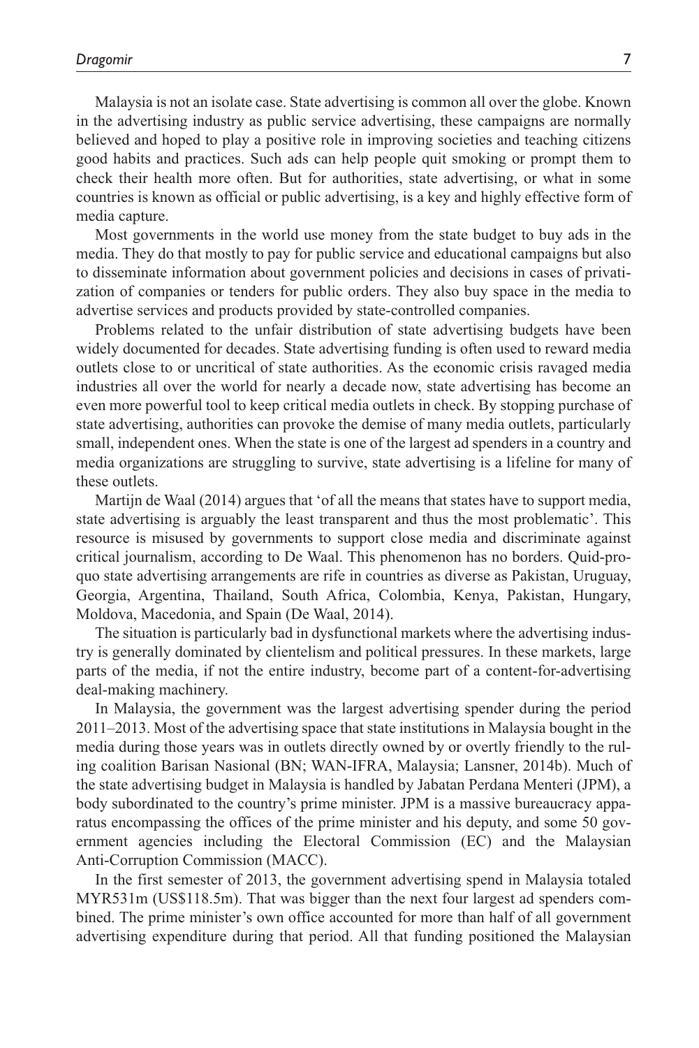Malaysia is not an isolate case. State advertising is common all over the globe. Known in the advertising industry as public service advertising, these campaigns are normally believed and hoped to play a positive role in improving societies and teaching citizens good habits and practices. Such ads can help people quit smoking or prompt them to check their health more often. But for authorities, state advertising, or what in some countries is known as official or public advertising, is a key and highly effective form of media capture.

Most governments in the world use money from the state budget to buy ads in the media. They do that mostly to pay for public service and educational campaigns but also to disseminate information about government policies and decisions in cases of privatization of companies or tenders for public orders. They also buy space in the media to advertise services and products provided by state-controlled companies.

Problems related to the unfair distribution of state advertising budgets have been widely documented for decades. State advertising funding is often used to reward media outlets close to or uncritical of state authorities. As the economic crisis ravaged media industries all over the world for nearly a decade now, state advertising has become an even more powerful tool to keep critical media outlets in check. By stopping purchase of state advertising, authorities can provoke the demise of many media outlets, particularly small, independent ones. When the state is one of the largest ad spenders in a country and media organizations are struggling to survive, state advertising is a lifeline for many of these outlets.

Martijn de Waal (2014) argues that 'of all the means that states have to support media, state advertising is arguably the least transparent and thus the most problematic'. This resource is misused by governments to support close media and discriminate against critical journalism, according to De Waal. This phenomenon has no borders. Quid-proquo state advertising arrangements are rife in countries as diverse as Pakistan, Uruguay, Georgia, Argentina, Thailand, South Africa, Colombia, Kenya, Pakistan, Hungary, Moldova, Macedonia, and Spain (De Waal, 2014).

The situation is particularly bad in dysfunctional markets where the advertising industry is generally dominated by clientelism and political pressures. In these markets, large parts of the media, if not the entire industry, become part of a content-for-advertising deal-making machinery.

In Malaysia, the government was the largest advertising spender during the period 2011–2013. Most of the advertising space that state institutions in Malaysia bought in the media during those years was in outlets directly owned by or overtly friendly to the ruling coalition Barisan Nasional (BN; WAN-IFRA, Malaysia; Lansner, 2014b). Much of the state advertising budget in Malaysia is handled by Jabatan Perdana Menteri (JPM), a body subordinated to the country's prime minister. JPM is a massive bureaucracy apparatus encompassing the offices of the prime minister and his deputy, and some 50 government agencies including the Electoral Commission (EC) and the Malaysian Anti-Corruption Commission (MACC).

In the first semester of 2013, the government advertising spend in Malaysia totaled MYR531m (US\$118.5m). That was bigger than the next four largest ad spenders combined. The prime minister's own office accounted for more than half of all government advertising expenditure during that period. All that funding positioned the Malaysian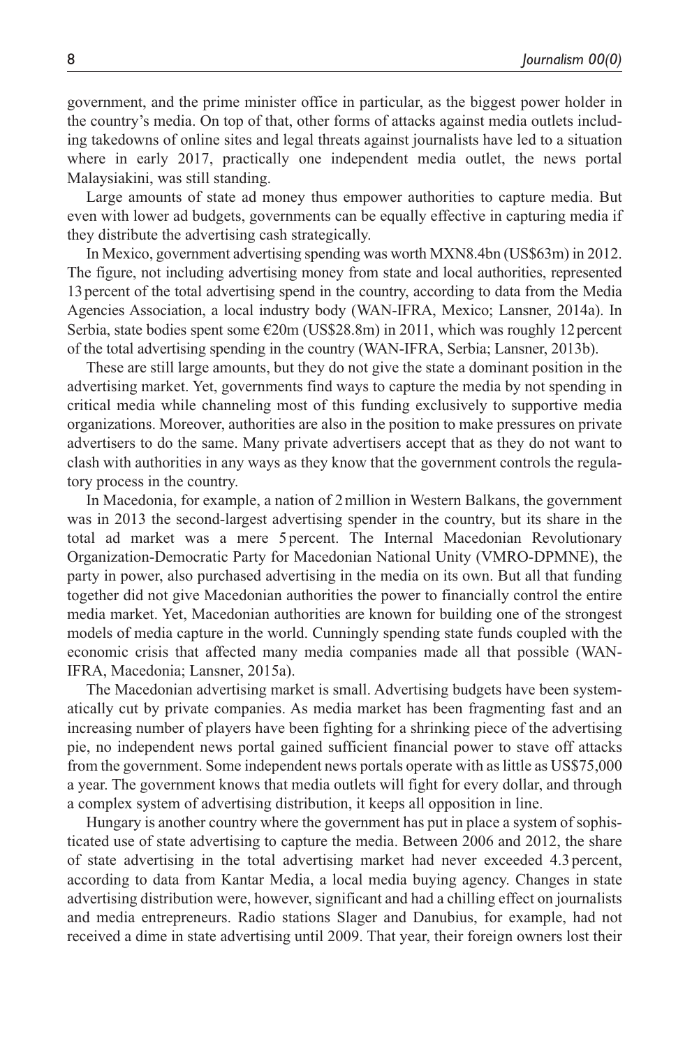government, and the prime minister office in particular, as the biggest power holder in the country's media. On top of that, other forms of attacks against media outlets including takedowns of online sites and legal threats against journalists have led to a situation where in early 2017, practically one independent media outlet, the news portal Malaysiakini, was still standing.

Large amounts of state ad money thus empower authorities to capture media. But even with lower ad budgets, governments can be equally effective in capturing media if they distribute the advertising cash strategically.

In Mexico, government advertising spending was worth MXN8.4bn (US\$63m) in 2012. The figure, not including advertising money from state and local authorities, represented 13percent of the total advertising spend in the country, according to data from the Media Agencies Association, a local industry body (WAN-IFRA, Mexico; Lansner, 2014a). In Serbia, state bodies spent some  $\epsilon$ 20m (US\$28.8m) in 2011, which was roughly 12 percent of the total advertising spending in the country (WAN-IFRA, Serbia; Lansner, 2013b).

These are still large amounts, but they do not give the state a dominant position in the advertising market. Yet, governments find ways to capture the media by not spending in critical media while channeling most of this funding exclusively to supportive media organizations. Moreover, authorities are also in the position to make pressures on private advertisers to do the same. Many private advertisers accept that as they do not want to clash with authorities in any ways as they know that the government controls the regulatory process in the country.

In Macedonia, for example, a nation of 2million in Western Balkans, the government was in 2013 the second-largest advertising spender in the country, but its share in the total ad market was a mere 5 percent. The Internal Macedonian Revolutionary Organization-Democratic Party for Macedonian National Unity (VMRO-DPMNE), the party in power, also purchased advertising in the media on its own. But all that funding together did not give Macedonian authorities the power to financially control the entire media market. Yet, Macedonian authorities are known for building one of the strongest models of media capture in the world. Cunningly spending state funds coupled with the economic crisis that affected many media companies made all that possible (WAN-IFRA, Macedonia; Lansner, 2015a).

The Macedonian advertising market is small. Advertising budgets have been systematically cut by private companies. As media market has been fragmenting fast and an increasing number of players have been fighting for a shrinking piece of the advertising pie, no independent news portal gained sufficient financial power to stave off attacks from the government. Some independent news portals operate with as little as US\$75,000 a year. The government knows that media outlets will fight for every dollar, and through a complex system of advertising distribution, it keeps all opposition in line.

Hungary is another country where the government has put in place a system of sophisticated use of state advertising to capture the media. Between 2006 and 2012, the share of state advertising in the total advertising market had never exceeded 4.3 percent, according to data from Kantar Media, a local media buying agency. Changes in state advertising distribution were, however, significant and had a chilling effect on journalists and media entrepreneurs. Radio stations Slager and Danubius, for example, had not received a dime in state advertising until 2009. That year, their foreign owners lost their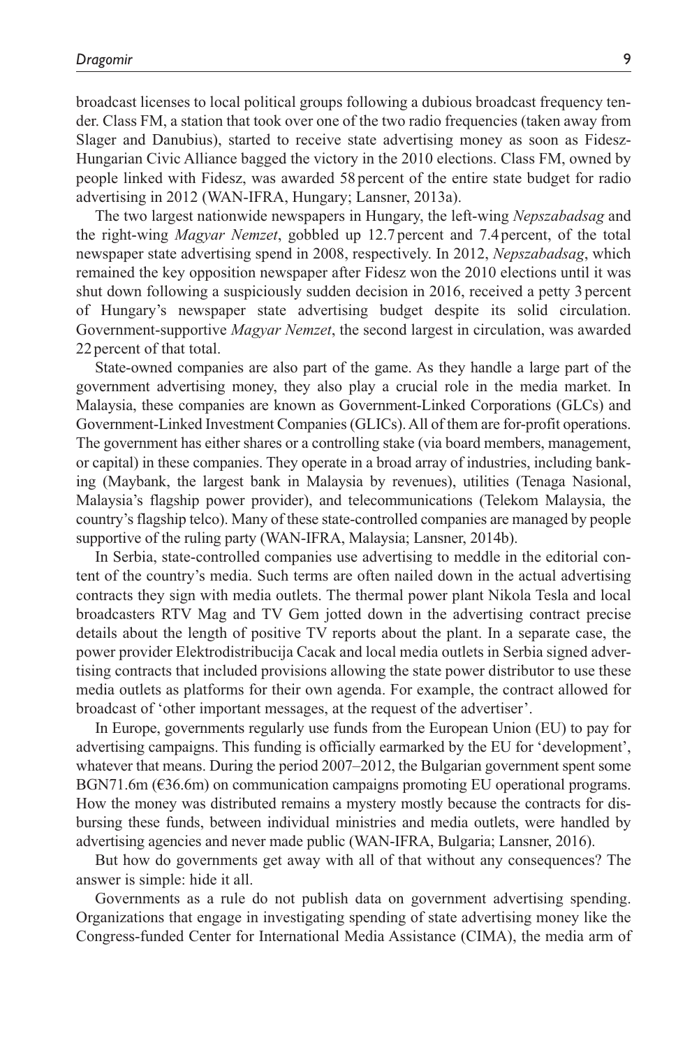broadcast licenses to local political groups following a dubious broadcast frequency tender. Class FM, a station that took over one of the two radio frequencies (taken away from Slager and Danubius), started to receive state advertising money as soon as Fidesz-Hungarian Civic Alliance bagged the victory in the 2010 elections. Class FM, owned by people linked with Fidesz, was awarded 58 percent of the entire state budget for radio advertising in 2012 (WAN-IFRA, Hungary; Lansner, 2013a).

The two largest nationwide newspapers in Hungary, the left-wing *Nepszabadsag* and the right-wing *Magyar Nemzet*, gobbled up 12.7 percent and 7.4 percent, of the total newspaper state advertising spend in 2008, respectively. In 2012, *Nepszabadsag*, which remained the key opposition newspaper after Fidesz won the 2010 elections until it was shut down following a suspiciously sudden decision in 2016, received a petty 3 percent of Hungary's newspaper state advertising budget despite its solid circulation. Government-supportive *Magyar Nemzet*, the second largest in circulation, was awarded 22 percent of that total.

State-owned companies are also part of the game. As they handle a large part of the government advertising money, they also play a crucial role in the media market. In Malaysia, these companies are known as Government-Linked Corporations (GLCs) and Government-Linked Investment Companies (GLICs). All of them are for-profit operations. The government has either shares or a controlling stake (via board members, management, or capital) in these companies. They operate in a broad array of industries, including banking (Maybank, the largest bank in Malaysia by revenues), utilities (Tenaga Nasional, Malaysia's flagship power provider), and telecommunications (Telekom Malaysia, the country's flagship telco). Many of these state-controlled companies are managed by people supportive of the ruling party (WAN-IFRA, Malaysia; Lansner, 2014b).

In Serbia, state-controlled companies use advertising to meddle in the editorial content of the country's media. Such terms are often nailed down in the actual advertising contracts they sign with media outlets. The thermal power plant Nikola Tesla and local broadcasters RTV Mag and TV Gem jotted down in the advertising contract precise details about the length of positive TV reports about the plant. In a separate case, the power provider Elektrodistribucija Cacak and local media outlets in Serbia signed advertising contracts that included provisions allowing the state power distributor to use these media outlets as platforms for their own agenda. For example, the contract allowed for broadcast of 'other important messages, at the request of the advertiser'.

In Europe, governments regularly use funds from the European Union (EU) to pay for advertising campaigns. This funding is officially earmarked by the EU for 'development', whatever that means. During the period 2007–2012, the Bulgarian government spent some BGN71.6m ( $\epsilon$ 36.6m) on communication campaigns promoting EU operational programs. How the money was distributed remains a mystery mostly because the contracts for disbursing these funds, between individual ministries and media outlets, were handled by advertising agencies and never made public (WAN-IFRA, Bulgaria; Lansner, 2016).

But how do governments get away with all of that without any consequences? The answer is simple: hide it all.

Governments as a rule do not publish data on government advertising spending. Organizations that engage in investigating spending of state advertising money like the Congress-funded Center for International Media Assistance (CIMA), the media arm of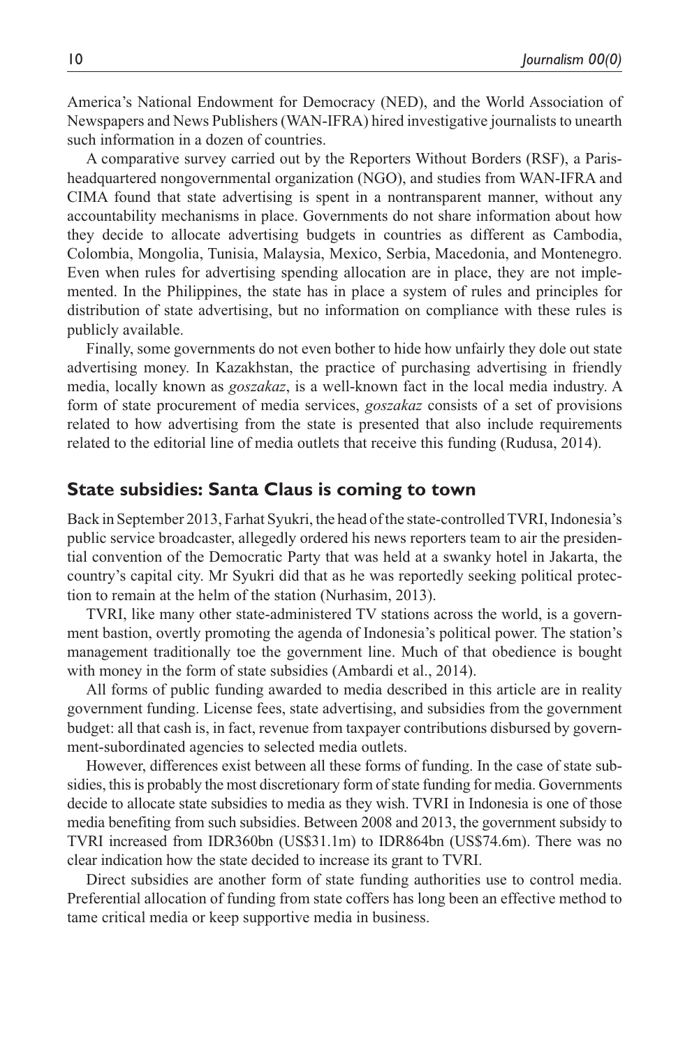America's National Endowment for Democracy (NED), and the World Association of Newspapers and News Publishers (WAN-IFRA) hired investigative journalists to unearth such information in a dozen of countries.

A comparative survey carried out by the Reporters Without Borders (RSF), a Parisheadquartered nongovernmental organization (NGO), and studies from WAN-IFRA and CIMA found that state advertising is spent in a nontransparent manner, without any accountability mechanisms in place. Governments do not share information about how they decide to allocate advertising budgets in countries as different as Cambodia, Colombia, Mongolia, Tunisia, Malaysia, Mexico, Serbia, Macedonia, and Montenegro. Even when rules for advertising spending allocation are in place, they are not implemented. In the Philippines, the state has in place a system of rules and principles for distribution of state advertising, but no information on compliance with these rules is publicly available.

Finally, some governments do not even bother to hide how unfairly they dole out state advertising money. In Kazakhstan, the practice of purchasing advertising in friendly media, locally known as *goszakaz*, is a well-known fact in the local media industry. A form of state procurement of media services, *goszakaz* consists of a set of provisions related to how advertising from the state is presented that also include requirements related to the editorial line of media outlets that receive this funding (Rudusa, 2014).

### **State subsidies: Santa Claus is coming to town**

Back in September 2013, Farhat Syukri, the head of the state-controlled TVRI, Indonesia's public service broadcaster, allegedly ordered his news reporters team to air the presidential convention of the Democratic Party that was held at a swanky hotel in Jakarta, the country's capital city. Mr Syukri did that as he was reportedly seeking political protection to remain at the helm of the station (Nurhasim, 2013).

TVRI, like many other state-administered TV stations across the world, is a government bastion, overtly promoting the agenda of Indonesia's political power. The station's management traditionally toe the government line. Much of that obedience is bought with money in the form of state subsidies (Ambardi et al., 2014).

All forms of public funding awarded to media described in this article are in reality government funding. License fees, state advertising, and subsidies from the government budget: all that cash is, in fact, revenue from taxpayer contributions disbursed by government-subordinated agencies to selected media outlets.

However, differences exist between all these forms of funding. In the case of state subsidies, this is probably the most discretionary form of state funding for media. Governments decide to allocate state subsidies to media as they wish. TVRI in Indonesia is one of those media benefiting from such subsidies. Between 2008 and 2013, the government subsidy to TVRI increased from IDR360bn (US\$31.1m) to IDR864bn (US\$74.6m). There was no clear indication how the state decided to increase its grant to TVRI.

Direct subsidies are another form of state funding authorities use to control media. Preferential allocation of funding from state coffers has long been an effective method to tame critical media or keep supportive media in business.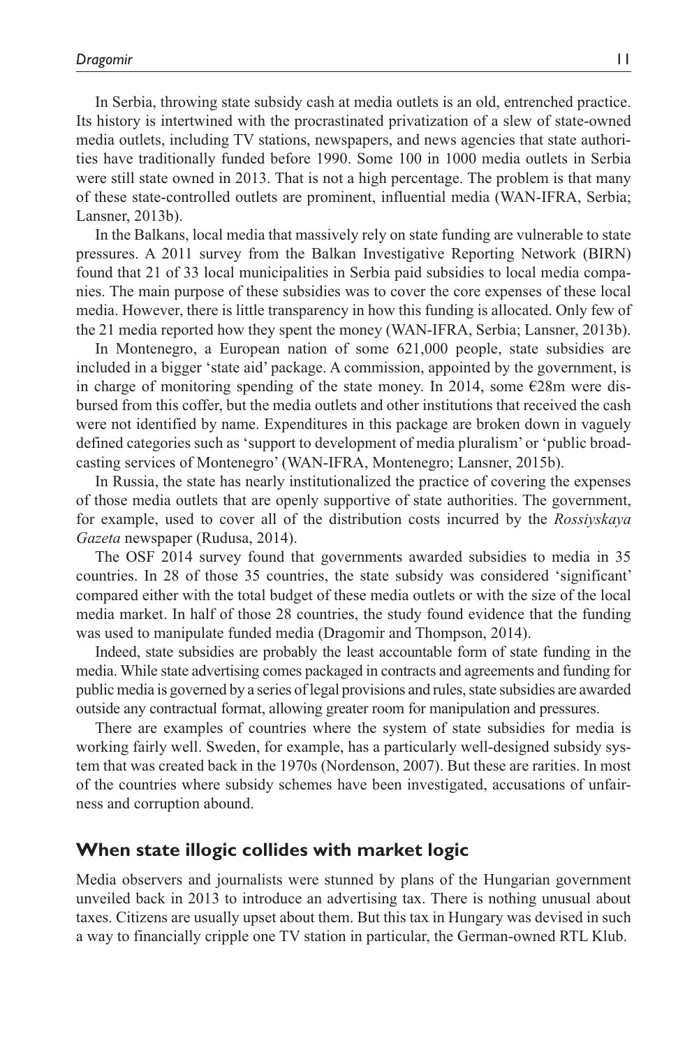In Serbia, throwing state subsidy cash at media outlets is an old, entrenched practice. Its history is intertwined with the procrastinated privatization of a slew of state-owned media outlets, including TV stations, newspapers, and news agencies that state authorities have traditionally funded before 1990. Some 100 in 1000 media outlets in Serbia were still state owned in 2013. That is not a high percentage. The problem is that many of these state-controlled outlets are prominent, influential media (WAN-IFRA, Serbia; Lansner, 2013b).

In the Balkans, local media that massively rely on state funding are vulnerable to state pressures. A 2011 survey from the Balkan Investigative Reporting Network (BIRN) found that 21 of 33 local municipalities in Serbia paid subsidies to local media companies. The main purpose of these subsidies was to cover the core expenses of these local media. However, there is little transparency in how this funding is allocated. Only few of the 21 media reported how they spent the money (WAN-IFRA, Serbia; Lansner, 2013b).

In Montenegro, a European nation of some 621,000 people, state subsidies are included in a bigger 'state aid' package. A commission, appointed by the government, is in charge of monitoring spending of the state money. In 2014, some  $\epsilon$ 28m were disbursed from this coffer, but the media outlets and other institutions that received the cash were not identified by name. Expenditures in this package are broken down in vaguely defined categories such as 'support to development of media pluralism' or 'public broadcasting services of Montenegro' (WAN-IFRA, Montenegro; Lansner, 2015b).

In Russia, the state has nearly institutionalized the practice of covering the expenses of those media outlets that are openly supportive of state authorities. The government, for example, used to cover all of the distribution costs incurred by the *Rossiyskaya Gazeta* newspaper (Rudusa, 2014).

The OSF 2014 survey found that governments awarded subsidies to media in 35 countries. In 28 of those 35 countries, the state subsidy was considered 'significant' compared either with the total budget of these media outlets or with the size of the local media market. In half of those 28 countries, the study found evidence that the funding was used to manipulate funded media (Dragomir and Thompson, 2014).

Indeed, state subsidies are probably the least accountable form of state funding in the media. While state advertising comes packaged in contracts and agreements and funding for public media is governed by a series of legal provisions and rules, state subsidies are awarded outside any contractual format, allowing greater room for manipulation and pressures.

There are examples of countries where the system of state subsidies for media is working fairly well. Sweden, for example, has a particularly well-designed subsidy system that was created back in the 1970s (Nordenson, 2007). But these are rarities. In most of the countries where subsidy schemes have been investigated, accusations of unfairness and corruption abound.

#### **When state illogic collides with market logic**

Media observers and journalists were stunned by plans of the Hungarian government unveiled back in 2013 to introduce an advertising tax. There is nothing unusual about taxes. Citizens are usually upset about them. But this tax in Hungary was devised in such a way to financially cripple one TV station in particular, the German-owned RTL Klub.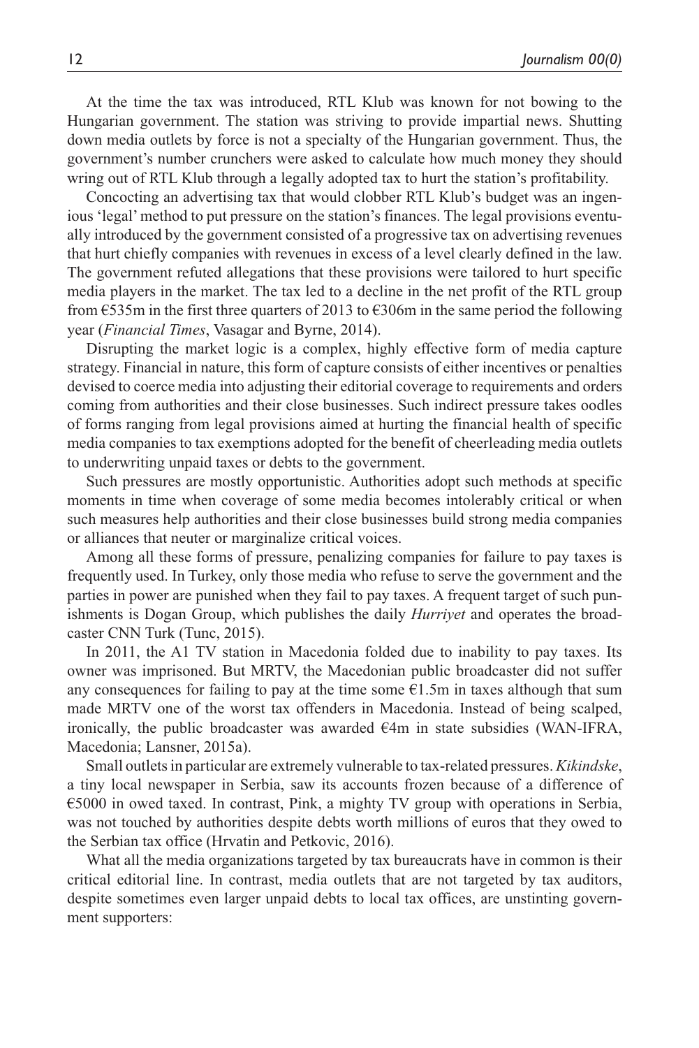At the time the tax was introduced, RTL Klub was known for not bowing to the Hungarian government. The station was striving to provide impartial news. Shutting down media outlets by force is not a specialty of the Hungarian government. Thus, the government's number crunchers were asked to calculate how much money they should wring out of RTL Klub through a legally adopted tax to hurt the station's profitability.

Concocting an advertising tax that would clobber RTL Klub's budget was an ingenious 'legal' method to put pressure on the station's finances. The legal provisions eventually introduced by the government consisted of a progressive tax on advertising revenues that hurt chiefly companies with revenues in excess of a level clearly defined in the law. The government refuted allegations that these provisions were tailored to hurt specific media players in the market. The tax led to a decline in the net profit of the RTL group from  $\epsilon$ 535m in the first three quarters of 2013 to  $\epsilon$ 306m in the same period the following year (*Financial Times*, Vasagar and Byrne, 2014).

Disrupting the market logic is a complex, highly effective form of media capture strategy. Financial in nature, this form of capture consists of either incentives or penalties devised to coerce media into adjusting their editorial coverage to requirements and orders coming from authorities and their close businesses. Such indirect pressure takes oodles of forms ranging from legal provisions aimed at hurting the financial health of specific media companies to tax exemptions adopted for the benefit of cheerleading media outlets to underwriting unpaid taxes or debts to the government.

Such pressures are mostly opportunistic. Authorities adopt such methods at specific moments in time when coverage of some media becomes intolerably critical or when such measures help authorities and their close businesses build strong media companies or alliances that neuter or marginalize critical voices.

Among all these forms of pressure, penalizing companies for failure to pay taxes is frequently used. In Turkey, only those media who refuse to serve the government and the parties in power are punished when they fail to pay taxes. A frequent target of such punishments is Dogan Group, which publishes the daily *Hurriyet* and operates the broadcaster CNN Turk (Tunc, 2015).

In 2011, the A1 TV station in Macedonia folded due to inability to pay taxes. Its owner was imprisoned. But MRTV, the Macedonian public broadcaster did not suffer any consequences for failing to pay at the time some  $\epsilon$ 1.5m in taxes although that sum made MRTV one of the worst tax offenders in Macedonia. Instead of being scalped, ironically, the public broadcaster was awarded  $\epsilon$ 4m in state subsidies (WAN-IFRA, Macedonia; Lansner, 2015a).

Small outlets in particular are extremely vulnerable to tax-related pressures. *Kikindske*, a tiny local newspaper in Serbia, saw its accounts frozen because of a difference of €5000 in owed taxed. In contrast, Pink, a mighty TV group with operations in Serbia, was not touched by authorities despite debts worth millions of euros that they owed to the Serbian tax office (Hrvatin and Petkovic, 2016).

What all the media organizations targeted by tax bureaucrats have in common is their critical editorial line. In contrast, media outlets that are not targeted by tax auditors, despite sometimes even larger unpaid debts to local tax offices, are unstinting government supporters: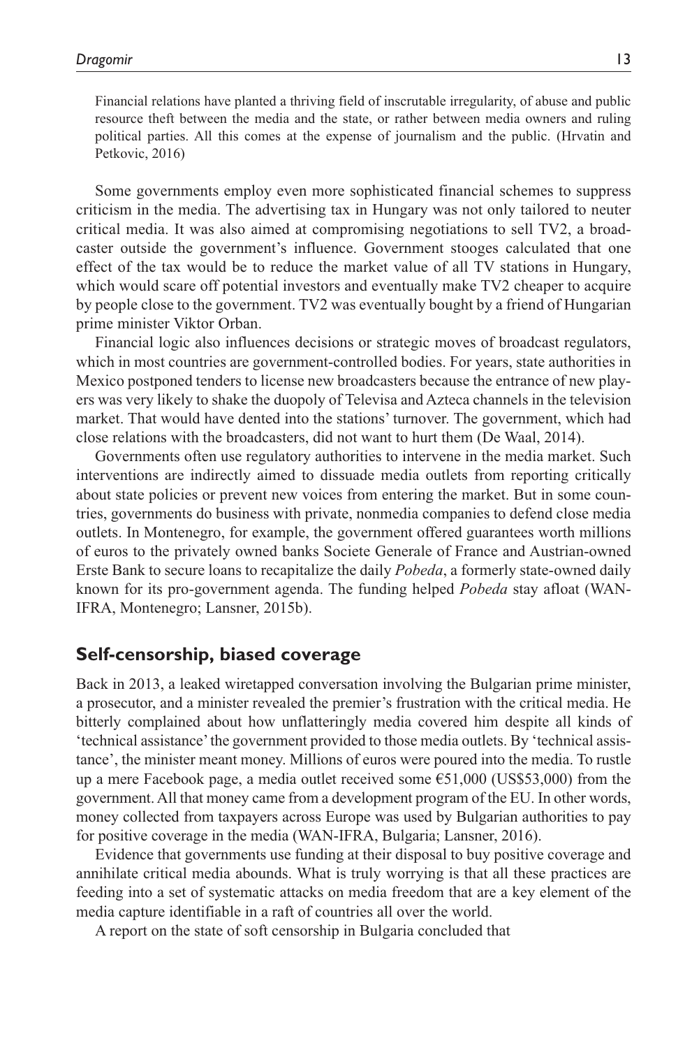Financial relations have planted a thriving field of inscrutable irregularity, of abuse and public resource theft between the media and the state, or rather between media owners and ruling political parties. All this comes at the expense of journalism and the public. (Hrvatin and Petkovic, 2016)

Some governments employ even more sophisticated financial schemes to suppress criticism in the media. The advertising tax in Hungary was not only tailored to neuter critical media. It was also aimed at compromising negotiations to sell TV2, a broadcaster outside the government's influence. Government stooges calculated that one effect of the tax would be to reduce the market value of all TV stations in Hungary, which would scare off potential investors and eventually make TV2 cheaper to acquire by people close to the government. TV2 was eventually bought by a friend of Hungarian prime minister Viktor Orban.

Financial logic also influences decisions or strategic moves of broadcast regulators, which in most countries are government-controlled bodies. For years, state authorities in Mexico postponed tenders to license new broadcasters because the entrance of new players was very likely to shake the duopoly of Televisa and Azteca channels in the television market. That would have dented into the stations' turnover. The government, which had close relations with the broadcasters, did not want to hurt them (De Waal, 2014).

Governments often use regulatory authorities to intervene in the media market. Such interventions are indirectly aimed to dissuade media outlets from reporting critically about state policies or prevent new voices from entering the market. But in some countries, governments do business with private, nonmedia companies to defend close media outlets. In Montenegro, for example, the government offered guarantees worth millions of euros to the privately owned banks Societe Generale of France and Austrian-owned Erste Bank to secure loans to recapitalize the daily *Pobeda*, a formerly state-owned daily known for its pro-government agenda. The funding helped *Pobeda* stay afloat (WAN-IFRA, Montenegro; Lansner, 2015b).

## **Self-censorship, biased coverage**

Back in 2013, a leaked wiretapped conversation involving the Bulgarian prime minister, a prosecutor, and a minister revealed the premier's frustration with the critical media. He bitterly complained about how unflatteringly media covered him despite all kinds of 'technical assistance' the government provided to those media outlets. By 'technical assistance', the minister meant money. Millions of euros were poured into the media. To rustle up a mere Facebook page, a media outlet received some  $\epsilon$ 51,000 (US\$53,000) from the government. All that money came from a development program of the EU. In other words, money collected from taxpayers across Europe was used by Bulgarian authorities to pay for positive coverage in the media (WAN-IFRA, Bulgaria; Lansner, 2016).

Evidence that governments use funding at their disposal to buy positive coverage and annihilate critical media abounds. What is truly worrying is that all these practices are feeding into a set of systematic attacks on media freedom that are a key element of the media capture identifiable in a raft of countries all over the world.

A report on the state of soft censorship in Bulgaria concluded that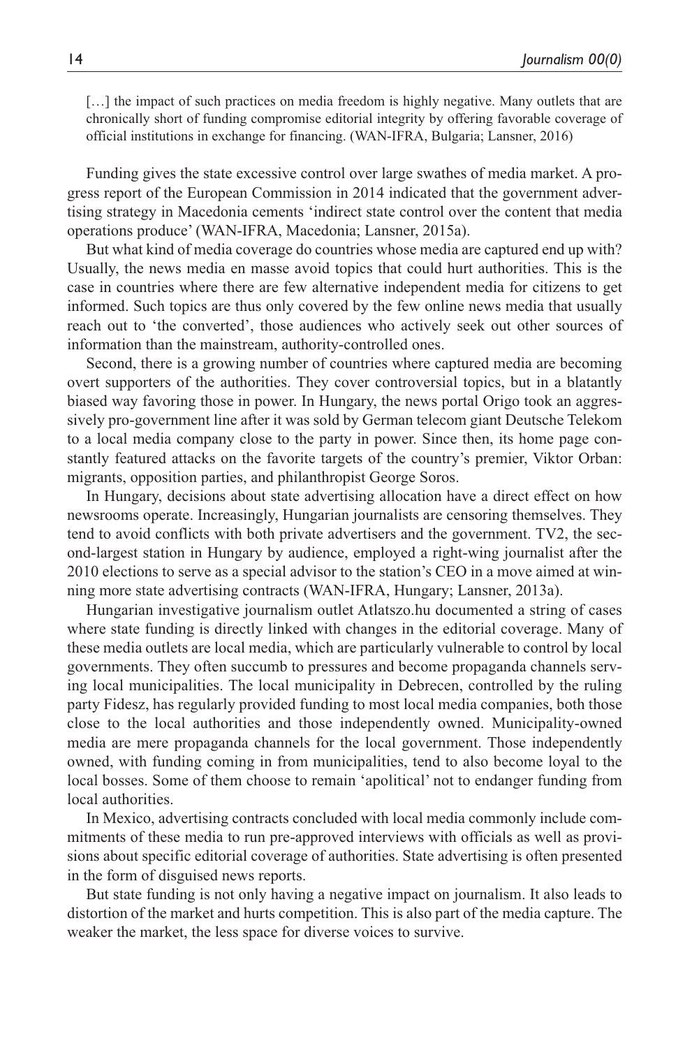[...] the impact of such practices on media freedom is highly negative. Many outlets that are chronically short of funding compromise editorial integrity by offering favorable coverage of official institutions in exchange for financing. (WAN-IFRA, Bulgaria; Lansner, 2016)

Funding gives the state excessive control over large swathes of media market. A progress report of the European Commission in 2014 indicated that the government advertising strategy in Macedonia cements 'indirect state control over the content that media operations produce' (WAN-IFRA, Macedonia; Lansner, 2015a).

But what kind of media coverage do countries whose media are captured end up with? Usually, the news media en masse avoid topics that could hurt authorities. This is the case in countries where there are few alternative independent media for citizens to get informed. Such topics are thus only covered by the few online news media that usually reach out to 'the converted', those audiences who actively seek out other sources of information than the mainstream, authority-controlled ones.

Second, there is a growing number of countries where captured media are becoming overt supporters of the authorities. They cover controversial topics, but in a blatantly biased way favoring those in power. In Hungary, the news portal Origo took an aggressively pro-government line after it was sold by German telecom giant Deutsche Telekom to a local media company close to the party in power. Since then, its home page constantly featured attacks on the favorite targets of the country's premier, Viktor Orban: migrants, opposition parties, and philanthropist George Soros.

In Hungary, decisions about state advertising allocation have a direct effect on how newsrooms operate. Increasingly, Hungarian journalists are censoring themselves. They tend to avoid conflicts with both private advertisers and the government. TV2, the second-largest station in Hungary by audience, employed a right-wing journalist after the 2010 elections to serve as a special advisor to the station's CEO in a move aimed at winning more state advertising contracts (WAN-IFRA, Hungary; Lansner, 2013a).

Hungarian investigative journalism outlet Atlatszo.hu documented a string of cases where state funding is directly linked with changes in the editorial coverage. Many of these media outlets are local media, which are particularly vulnerable to control by local governments. They often succumb to pressures and become propaganda channels serving local municipalities. The local municipality in Debrecen, controlled by the ruling party Fidesz, has regularly provided funding to most local media companies, both those close to the local authorities and those independently owned. Municipality-owned media are mere propaganda channels for the local government. Those independently owned, with funding coming in from municipalities, tend to also become loyal to the local bosses. Some of them choose to remain 'apolitical' not to endanger funding from local authorities.

In Mexico, advertising contracts concluded with local media commonly include commitments of these media to run pre-approved interviews with officials as well as provisions about specific editorial coverage of authorities. State advertising is often presented in the form of disguised news reports.

But state funding is not only having a negative impact on journalism. It also leads to distortion of the market and hurts competition. This is also part of the media capture. The weaker the market, the less space for diverse voices to survive.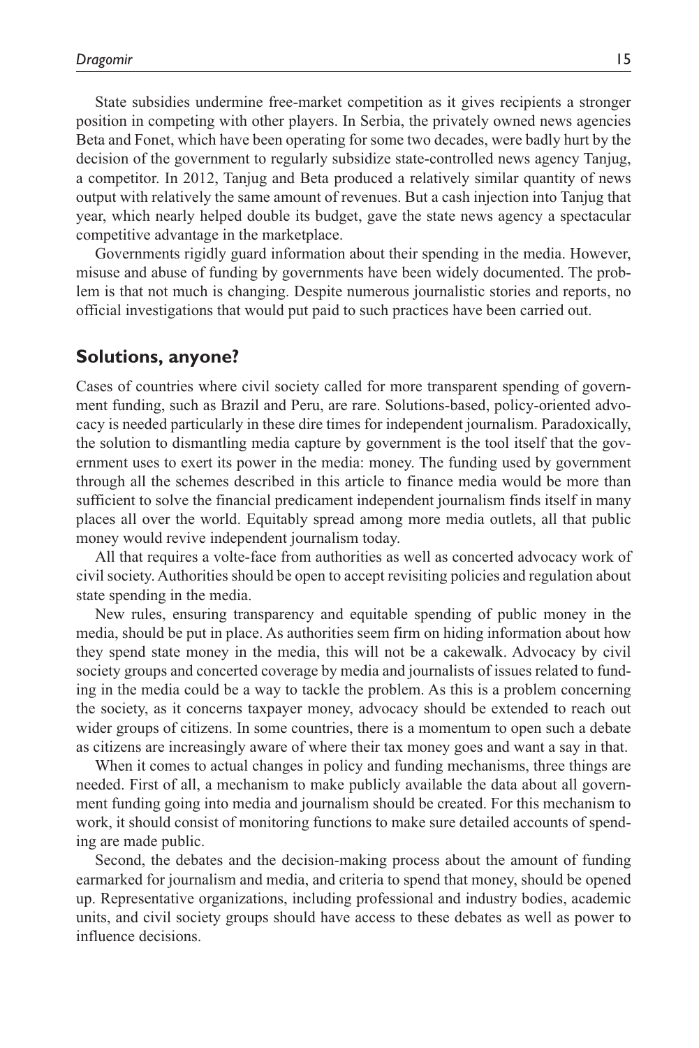State subsidies undermine free-market competition as it gives recipients a stronger position in competing with other players. In Serbia, the privately owned news agencies Beta and Fonet, which have been operating for some two decades, were badly hurt by the decision of the government to regularly subsidize state-controlled news agency Tanjug, a competitor. In 2012, Tanjug and Beta produced a relatively similar quantity of news output with relatively the same amount of revenues. But a cash injection into Tanjug that year, which nearly helped double its budget, gave the state news agency a spectacular competitive advantage in the marketplace.

Governments rigidly guard information about their spending in the media. However, misuse and abuse of funding by governments have been widely documented. The problem is that not much is changing. Despite numerous journalistic stories and reports, no official investigations that would put paid to such practices have been carried out.

#### **Solutions, anyone?**

Cases of countries where civil society called for more transparent spending of government funding, such as Brazil and Peru, are rare. Solutions-based, policy-oriented advocacy is needed particularly in these dire times for independent journalism. Paradoxically, the solution to dismantling media capture by government is the tool itself that the government uses to exert its power in the media: money. The funding used by government through all the schemes described in this article to finance media would be more than sufficient to solve the financial predicament independent journalism finds itself in many places all over the world. Equitably spread among more media outlets, all that public money would revive independent journalism today.

All that requires a volte-face from authorities as well as concerted advocacy work of civil society. Authorities should be open to accept revisiting policies and regulation about state spending in the media.

New rules, ensuring transparency and equitable spending of public money in the media, should be put in place. As authorities seem firm on hiding information about how they spend state money in the media, this will not be a cakewalk. Advocacy by civil society groups and concerted coverage by media and journalists of issues related to funding in the media could be a way to tackle the problem. As this is a problem concerning the society, as it concerns taxpayer money, advocacy should be extended to reach out wider groups of citizens. In some countries, there is a momentum to open such a debate as citizens are increasingly aware of where their tax money goes and want a say in that.

When it comes to actual changes in policy and funding mechanisms, three things are needed. First of all, a mechanism to make publicly available the data about all government funding going into media and journalism should be created. For this mechanism to work, it should consist of monitoring functions to make sure detailed accounts of spending are made public.

Second, the debates and the decision-making process about the amount of funding earmarked for journalism and media, and criteria to spend that money, should be opened up. Representative organizations, including professional and industry bodies, academic units, and civil society groups should have access to these debates as well as power to influence decisions.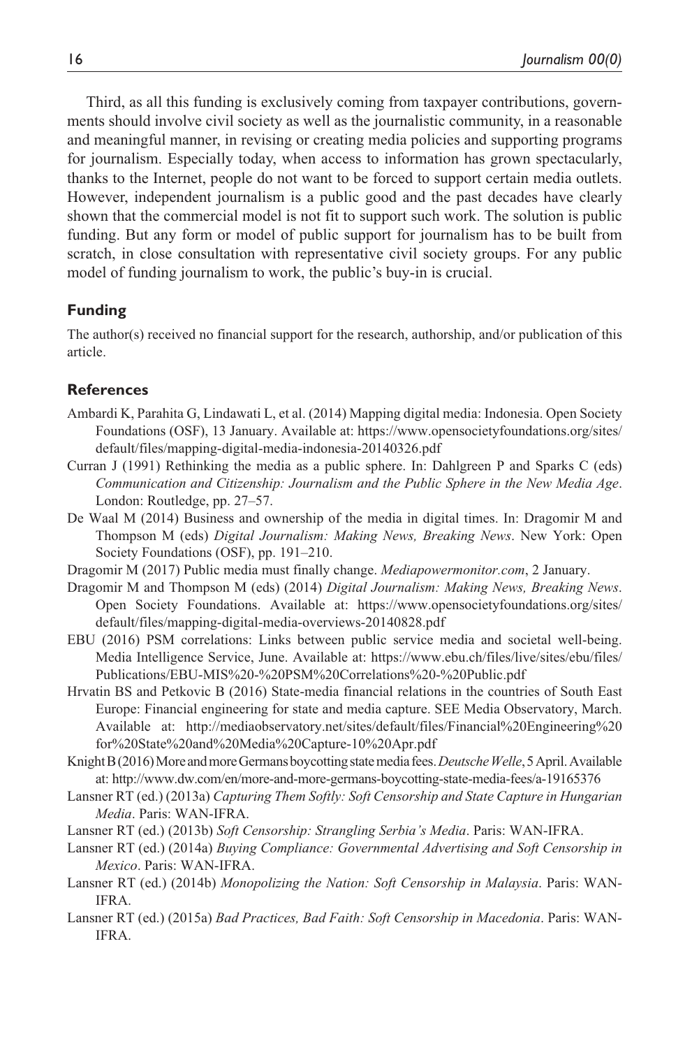Third, as all this funding is exclusively coming from taxpayer contributions, governments should involve civil society as well as the journalistic community, in a reasonable and meaningful manner, in revising or creating media policies and supporting programs for journalism. Especially today, when access to information has grown spectacularly, thanks to the Internet, people do not want to be forced to support certain media outlets. However, independent journalism is a public good and the past decades have clearly shown that the commercial model is not fit to support such work. The solution is public funding. But any form or model of public support for journalism has to be built from scratch, in close consultation with representative civil society groups. For any public model of funding journalism to work, the public's buy-in is crucial.

#### **Funding**

The author(s) received no financial support for the research, authorship, and/or publication of this article.

#### **References**

- Ambardi K, Parahita G, Lindawati L, et al. (2014) Mapping digital media: Indonesia. Open Society Foundations (OSF), 13 January. Available at: [https://www.opensocietyfoundations.org/sites/](https://www.opensocietyfoundations.org/sites/default/files/mapping-digital-media-indonesia-20140326.pdf) [default/files/mapping-digital-media-indonesia-20140326.pdf](https://www.opensocietyfoundations.org/sites/default/files/mapping-digital-media-indonesia-20140326.pdf)
- Curran J (1991) Rethinking the media as a public sphere. In: Dahlgreen P and Sparks C (eds) *Communication and Citizenship: Journalism and the Public Sphere in the New Media Age*. London: Routledge, pp. 27–57.
- De Waal M (2014) Business and ownership of the media in digital times. In: Dragomir M and Thompson M (eds) *Digital Journalism: Making News, Breaking News*. New York: Open Society Foundations (OSF), pp. 191–210.
- Dragomir M (2017) Public media must finally change. *Mediapowermonitor.com*, 2 January.
- Dragomir M and Thompson M (eds) (2014) *Digital Journalism: Making News, Breaking News*. Open Society Foundations. Available at: [https://www.opensocietyfoundations.org/sites/](https://www.opensocietyfoundations.org/sites/default/files/mapping-digital-media-overviews-20140828.pdf) [default/files/mapping-digital-media-overviews-20140828.pdf](https://www.opensocietyfoundations.org/sites/default/files/mapping-digital-media-overviews-20140828.pdf)
- EBU (2016) PSM correlations: Links between public service media and societal well-being. Media Intelligence Service, June. Available at: [https://www.ebu.ch/files/live/sites/ebu/files/](https://www.ebu.ch/files/live/sites/ebu/files/Publications/EBU-MIS%20-%20PSM%20Correlations%20-%20Public.pdf) [Publications/EBU-MIS%20-%20PSM%20Correlations%20-%20Public.pdf](https://www.ebu.ch/files/live/sites/ebu/files/Publications/EBU-MIS%20-%20PSM%20Correlations%20-%20Public.pdf)
- Hrvatin BS and Petkovic B (2016) State-media financial relations in the countries of South East Europe: Financial engineering for state and media capture. SEE Media Observatory, March. Available at: [http://mediaobservatory.net/sites/default/files/Financial%20Engineering%20](http://mediaobservatory.net/sites/default/files/Financial%20Engineering%20for%20State%20and%20Media%20Capture-10%20Apr.pdf) [for%20State%20and%20Media%20Capture-10%20Apr.pdf](http://mediaobservatory.net/sites/default/files/Financial%20Engineering%20for%20State%20and%20Media%20Capture-10%20Apr.pdf)
- Knight B (2016) More and more Germans boycotting state media fees. *Deutsche Welle*, 5 April. Available at:<http://www.dw.com/en/more-and-more-germans-boycotting-state-media-fees/a-19165376>
- Lansner RT (ed.) (2013a) *Capturing Them Softly: Soft Censorship and State Capture in Hungarian Media*. Paris: WAN-IFRA.
- Lansner RT (ed.) (2013b) *Soft Censorship: Strangling Serbia's Media*. Paris: WAN-IFRA.
- Lansner RT (ed.) (2014a) *Buying Compliance: Governmental Advertising and Soft Censorship in Mexico*. Paris: WAN-IFRA.
- Lansner RT (ed.) (2014b) *Monopolizing the Nation: Soft Censorship in Malaysia*. Paris: WAN-IFRA.
- Lansner RT (ed.) (2015a) *Bad Practices, Bad Faith: Soft Censorship in Macedonia*. Paris: WAN-IFRA.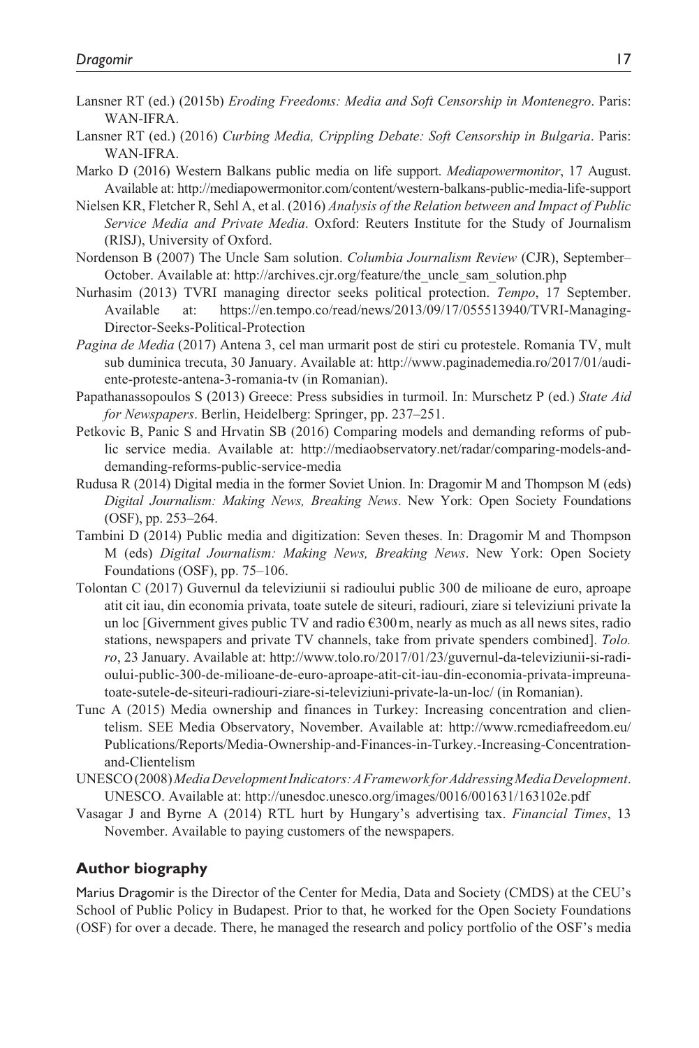- Lansner RT (ed.) (2015b) *Eroding Freedoms: Media and Soft Censorship in Montenegro*. Paris: WAN-IFRA.
- Lansner RT (ed.) (2016) *Curbing Media, Crippling Debate: Soft Censorship in Bulgaria*. Paris: WAN-IFRA.
- Marko D (2016) Western Balkans public media on life support. *Mediapowermonitor*, 17 August. Available at:<http://mediapowermonitor.com/content/western-balkans-public-media-life-support>
- Nielsen KR, Fletcher R, Sehl A, et al. (2016) *Analysis of the Relation between and Impact of Public Service Media and Private Media*. Oxford: Reuters Institute for the Study of Journalism (RISJ), University of Oxford.
- Nordenson B (2007) The Uncle Sam solution. *Columbia Journalism Review* (CJR), September– October. Available at: [http://archives.cjr.org/feature/the\\_uncle\\_sam\\_solution.php](http://archives.cjr.org/feature/the_uncle_sam_solution.php)
- Nurhasim (2013) TVRI managing director seeks political protection. *Tempo*, 17 September. Available at: [https://en.tempo.co/read/news/2013/09/17/055513940/TVRI-Managing-](https://en.tempo.co/read/news/2013/09/17/055513940/TVRI-Managing-Director-Seeks-Political-Protection)[Director-Seeks-Political-Protection](https://en.tempo.co/read/news/2013/09/17/055513940/TVRI-Managing-Director-Seeks-Political-Protection)
- *Pagina de Media* (2017) Antena 3, cel man urmarit post de stiri cu protestele. Romania TV, mult sub duminica trecuta, 30 January. Available at: [http://www.paginademedia.ro/2017/01/audi](http://www.paginademedia.ro/2017/01/audiente-proteste-antena-3-romania-tv)[ente-proteste-antena-3-romania-tv](http://www.paginademedia.ro/2017/01/audiente-proteste-antena-3-romania-tv) (in Romanian).
- Papathanassopoulos S (2013) Greece: Press subsidies in turmoil. In: Murschetz P (ed.) *State Aid for Newspapers*. Berlin, Heidelberg: Springer, pp. 237–251.
- Petkovic B, Panic S and Hrvatin SB (2016) Comparing models and demanding reforms of public service media. Available at: [http://mediaobservatory.net/radar/comparing-models-and](http://mediaobservatory.net/radar/comparing-models-and-demanding-reforms-public-service-media)[demanding-reforms-public-service-media](http://mediaobservatory.net/radar/comparing-models-and-demanding-reforms-public-service-media)
- Rudusa R (2014) Digital media in the former Soviet Union. In: Dragomir M and Thompson M (eds) *Digital Journalism: Making News, Breaking News*. New York: Open Society Foundations (OSF), pp. 253–264.
- Tambini D (2014) Public media and digitization: Seven theses. In: Dragomir M and Thompson M (eds) *Digital Journalism: Making News, Breaking News*. New York: Open Society Foundations (OSF), pp. 75–106.
- Tolontan C (2017) Guvernul da televiziunii si radioului public 300 de milioane de euro, aproape atit cit iau, din economia privata, toate sutele de siteuri, radiouri, ziare si televiziuni private la un loc [Givernment gives public TV and radio  $\epsilon$ 300 m, nearly as much as all news sites, radio stations, newspapers and private TV channels, take from private spenders combined]. *Tolo. ro*, 23 January. Available at: [http://www.tolo.ro/2017/01/23/guvernul-da-televiziunii-si-radi](http://www.tolo.ro/2017/01/23/guvernul-da-televiziunii-si-radioului-public-300-de-milioane-de-euro-aproape-atit-cit-iau-din-economia-privata-impreuna-toate-sutele-de-siteuri-radiouri-ziare-si-televiziuni-private-la-un-loc/)[oului-public-300-de-milioane-de-euro-aproape-atit-cit-iau-din-economia-privata-impreuna](http://www.tolo.ro/2017/01/23/guvernul-da-televiziunii-si-radioului-public-300-de-milioane-de-euro-aproape-atit-cit-iau-din-economia-privata-impreuna-toate-sutele-de-siteuri-radiouri-ziare-si-televiziuni-private-la-un-loc/)[toate-sutele-de-siteuri-radiouri-ziare-si-televiziuni-private-la-un-loc/](http://www.tolo.ro/2017/01/23/guvernul-da-televiziunii-si-radioului-public-300-de-milioane-de-euro-aproape-atit-cit-iau-din-economia-privata-impreuna-toate-sutele-de-siteuri-radiouri-ziare-si-televiziuni-private-la-un-loc/) (in Romanian).
- Tunc A (2015) Media ownership and finances in Turkey: Increasing concentration and clientelism. SEE Media Observatory, November. Available at: [http://www.rcmediafreedom.eu/](http://www.rcmediafreedom.eu/Publications/Reports/Media-Ownership-and-Finances-in-Turkey.-Increasing-Concentration-and-Clientelism) [Publications/Reports/Media-Ownership-and-Finances-in-Turkey.-Increasing-Concentration](http://www.rcmediafreedom.eu/Publications/Reports/Media-Ownership-and-Finances-in-Turkey.-Increasing-Concentration-and-Clientelism)[and-Clientelism](http://www.rcmediafreedom.eu/Publications/Reports/Media-Ownership-and-Finances-in-Turkey.-Increasing-Concentration-and-Clientelism)
- UNESCO (2008) *Media Development Indicators: A Framework for Addressing Media Development*. UNESCO. Available at:<http://unesdoc.unesco.org/images/0016/001631/163102e.pdf>
- Vasagar J and Byrne A (2014) RTL hurt by Hungary's advertising tax. *Financial Times*, 13 November. Available to paying customers of the newspapers.

#### **Author biography**

Marius Dragomir is the Director of the Center for Media, Data and Society (CMDS) at the CEU's School of Public Policy in Budapest. Prior to that, he worked for the Open Society Foundations (OSF) for over a decade. There, he managed the research and policy portfolio of the OSF's media